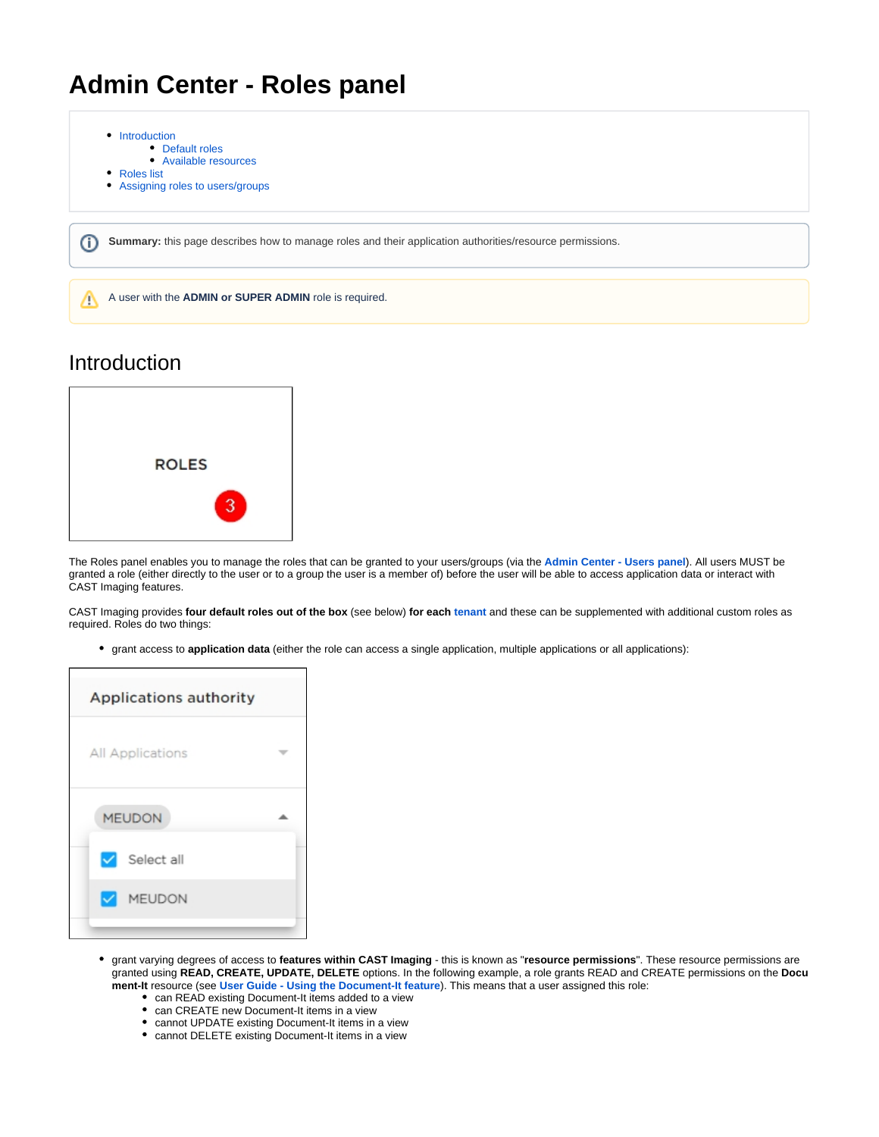# **Admin Center - Roles panel**



## Introduction

<span id="page-0-0"></span>

The Roles panel enables you to manage the roles that can be granted to your users/groups (via the **[Admin Center - Users panel](https://doc.castsoftware.com/display/IMAGING/Admin+Center+-+Users+panel)**). All users MUST be granted a role (either directly to the user or to a group the user is a member of) before the user will be able to access application data or interact with CAST Imaging features.

CAST Imaging provides **four default roles out of the box** (see below) **for each [tenant](https://doc.castsoftware.com/display/IMAGING/Admin+Center+-+Multi+tenant+panel)** and these can be supplemented with additional custom roles as required. Roles do two things:

grant access to **application data** (either the role can access a single application, multiple applications or all applications):

| Applications authority |  |  |
|------------------------|--|--|
|                        |  |  |
|                        |  |  |
|                        |  |  |
|                        |  |  |
|                        |  |  |

- grant varying degrees of access to **features within CAST Imaging** this is known as "**resource permissions**". These resource permissions are granted using **READ, CREATE, UPDATE, DELETE** options. In the following example, a role grants READ and CREATE permissions on the **Docu ment-It** resource (see **[User Guide - Using the Document-It feature](https://doc.castsoftware.com/display/IMAGING/User+Guide+-+Using+the+Document-It+feature)**). This means that a user assigned this role:
	- can READ existing Document-It items added to a view
	- can CREATE new Document-It items in a view
	- cannot UPDATE existing Document-It items in a view
	- cannot DELETE existing Document-It items in a view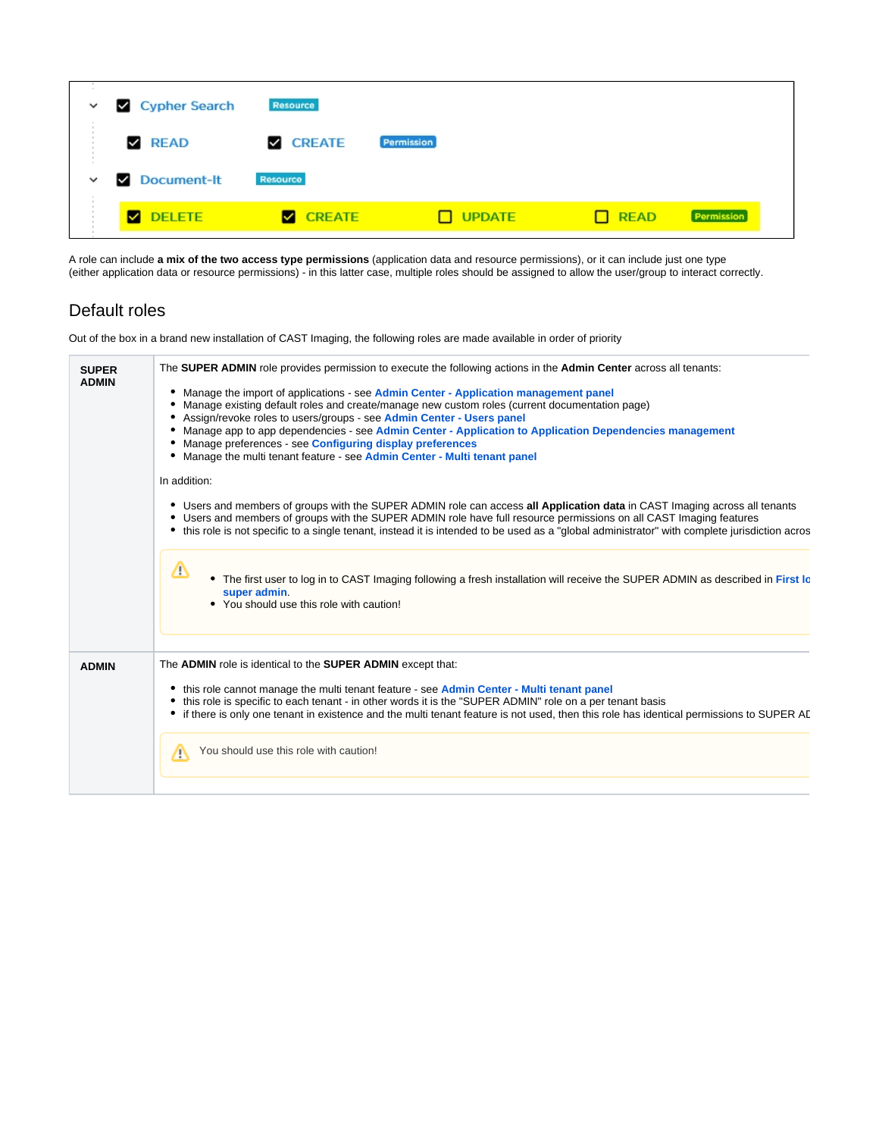| $\checkmark$ | Cypher Search   | <b>Resource</b> |               |             |                   |
|--------------|-----------------|-----------------|---------------|-------------|-------------------|
|              | <b>Z</b> READ   | <b>Z</b> CREATE | Permission    |             |                   |
| $\checkmark$ | Document-It     | Resource        |               |             |                   |
|              | <b>Z</b> DELETE | <b>Z</b> CREATE | $\Box$ UPDATE | $\Box$ READ | <b>Permission</b> |

A role can include **a mix of the two access type permissions** (application data and resource permissions), or it can include just one type (either application data or resource permissions) - in this latter case, multiple roles should be assigned to allow the user/group to interact correctly.

### <span id="page-1-0"></span>Default roles

Out of the box in a brand new installation of CAST Imaging, the following roles are made available in order of priority

| <b>SUPER</b><br><b>ADMIN</b> | The SUPER ADMIN role provides permission to execute the following actions in the Admin Center across all tenants:                                                                                                                                                                                                                                                                                                                                                                                                       |
|------------------------------|-------------------------------------------------------------------------------------------------------------------------------------------------------------------------------------------------------------------------------------------------------------------------------------------------------------------------------------------------------------------------------------------------------------------------------------------------------------------------------------------------------------------------|
|                              | • Manage the import of applications - see Admin Center - Application management panel<br>Manage existing default roles and create/manage new custom roles (current documentation page)<br>• Assign/revoke roles to users/groups - see Admin Center - Users panel<br>• Manage app to app dependencies - see Admin Center - Application to Application Dependencies management<br>• Manage preferences - see Configuring display preferences<br>• Manage the multi tenant feature - see Admin Center - Multi tenant panel |
|                              | In addition:                                                                                                                                                                                                                                                                                                                                                                                                                                                                                                            |
|                              | • Users and members of groups with the SUPER ADMIN role can access all Application data in CAST Imaging across all tenants<br>• Users and members of groups with the SUPER ADMIN role have full resource permissions on all CAST Imaging features<br>• this role is not specific to a single tenant, instead it is intended to be used as a "global administrator" with complete jurisdiction acros                                                                                                                     |
|                              | Δ<br>• The first user to log in to CAST Imaging following a fresh installation will receive the SUPER ADMIN as described in First Ic<br>super admin.<br>• You should use this role with caution!                                                                                                                                                                                                                                                                                                                        |
| <b>ADMIN</b>                 | The <b>ADMIN</b> role is identical to the <b>SUPER ADMIN</b> except that:                                                                                                                                                                                                                                                                                                                                                                                                                                               |
|                              | • this role cannot manage the multi tenant feature - see Admin Center - Multi tenant panel<br>this role is specific to each tenant - in other words it is the "SUPER ADMIN" role on a per tenant basis<br>• if there is only one tenant in existence and the multi tenant feature is not used, then this role has identical permissions to SUPER AD                                                                                                                                                                     |
|                              | You should use this role with caution!<br>/∖                                                                                                                                                                                                                                                                                                                                                                                                                                                                            |
|                              |                                                                                                                                                                                                                                                                                                                                                                                                                                                                                                                         |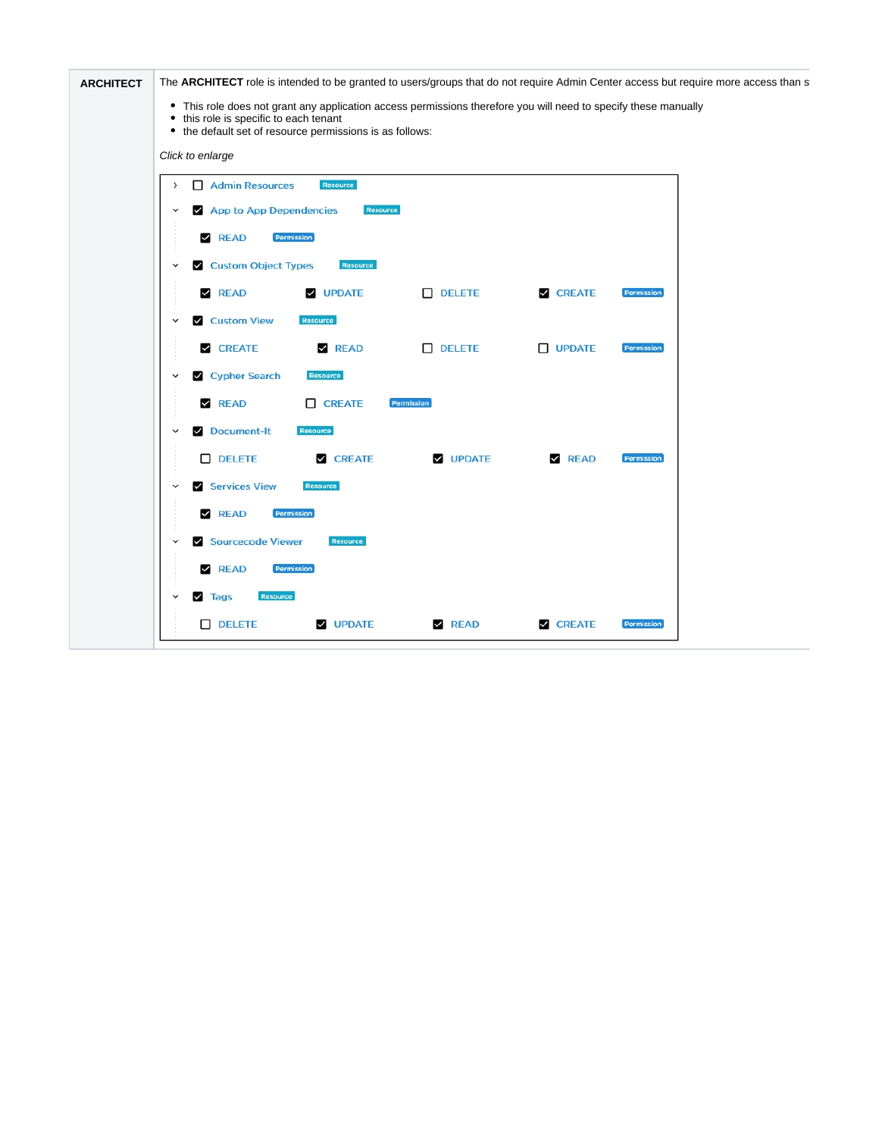| <b>ARCHITECT</b> | The ARCHITECT role is intended to be granted to users/groups that do not require Admin Center access but require more access than s                                                                                   |
|------------------|-----------------------------------------------------------------------------------------------------------------------------------------------------------------------------------------------------------------------|
|                  | • This role does not grant any application access permissions therefore you will need to specify these manually<br>• this role is specific to each tenant<br>• the default set of resource permissions is as follows: |
|                  | Click to enlarge                                                                                                                                                                                                      |
|                  | Admin Resources<br>Resource<br>$\rightarrow$                                                                                                                                                                          |
|                  | Resource<br>App to App Dependencies<br>$\checkmark$                                                                                                                                                                   |
|                  | <b>Z</b> READ<br>Permission                                                                                                                                                                                           |
|                  | Custom Object Types<br>Resource<br>$\checkmark$                                                                                                                                                                       |
|                  | $D$ DELETE<br>$\nabla$ READ<br><b>V</b> UPDATE<br><b>V CREATE</b><br>Permission                                                                                                                                       |
|                  | <b>Z</b> Custom View<br>Resource<br>$\checkmark$                                                                                                                                                                      |
|                  | <b>Z</b> CREATE<br><b>Z</b> READ<br>D DELETE<br>$\Box$ UPDATE<br>Permission                                                                                                                                           |
|                  | Cypher Search<br>Resource<br>$\check{}$                                                                                                                                                                               |
|                  | $\Box$ CREATE<br><b>Z</b> READ<br>Permission                                                                                                                                                                          |
|                  | Document-It<br>Resource<br>$\checkmark$                                                                                                                                                                               |
|                  | $D$ DELETE<br><b>Z</b> CREATE<br><b>V</b> UPDATE<br>$\n  READ\n$<br>Permission                                                                                                                                        |
|                  | Services View<br>Resource                                                                                                                                                                                             |
|                  | <b>Z</b> READ<br>Permission                                                                                                                                                                                           |
|                  | Sourcecode Viewer<br>Resource<br>$\checkmark$                                                                                                                                                                         |
|                  | <b>Z</b> READ<br>Permission                                                                                                                                                                                           |
|                  | $\vee$ Tags<br>Resource<br>$\check{ }$                                                                                                                                                                                |
|                  | $\Box$ DELETE<br><b>V</b> UPDATE<br><b>Z</b> CREATE<br><b>Z</b> READ<br>Permission                                                                                                                                    |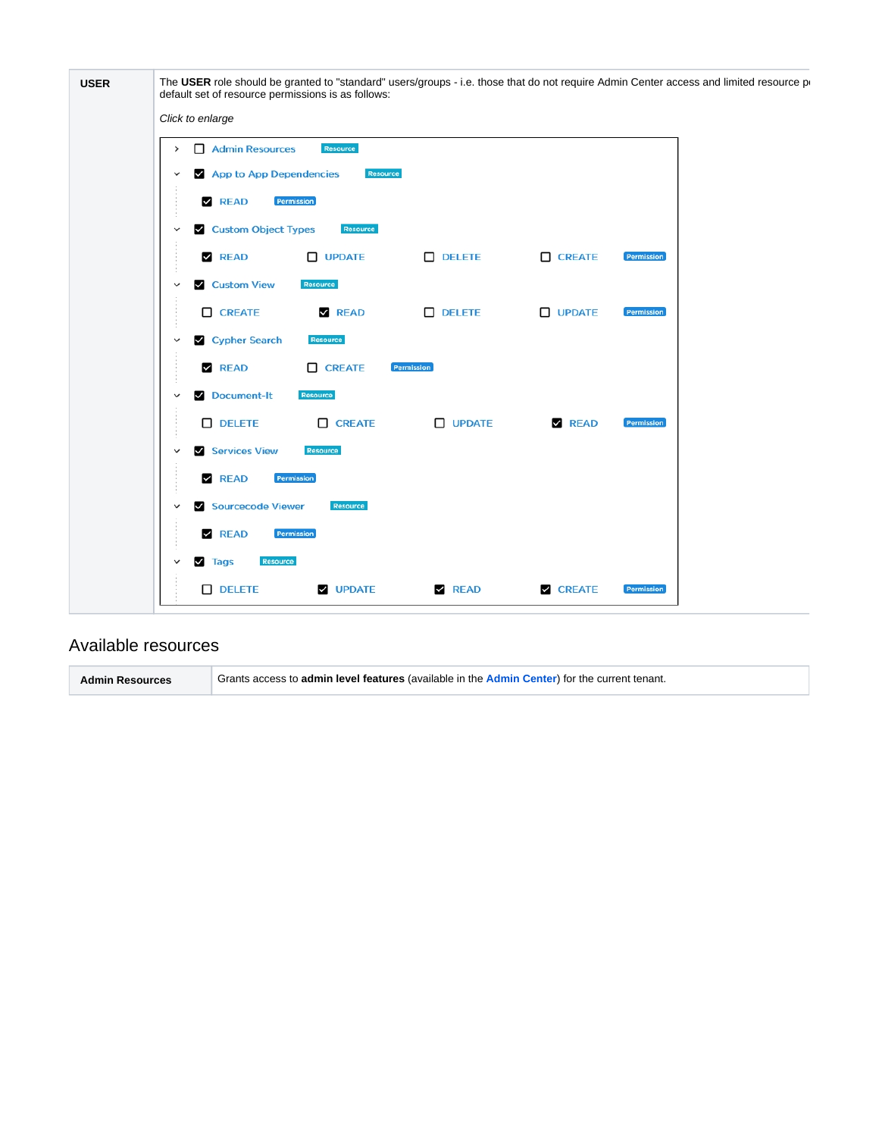| Click to enlarge                                   |               |               |            |  |
|----------------------------------------------------|---------------|---------------|------------|--|
| Admin Resources<br>Resource<br>$\rightarrow$       |               |               |            |  |
| App to App Dependencies<br>Resource<br>$\check{ }$ |               |               |            |  |
| <b>Z</b> READ<br>Permission                        |               |               |            |  |
| Custom Object Types<br>Resource<br>$\checkmark$    |               |               |            |  |
| $\Box$ UPDATE<br>$\n  READ\n$                      | $D$ DELETE    | $\Box$ CREATE | Permission |  |
| Custom View<br>Resource<br>$\checkmark$            |               |               |            |  |
| $\Box$ CREATE<br>$\n  READ\n$                      | $D$ DELETE    | $\Box$ UPDATE | Permission |  |
| Cypher Search<br>Resource<br>$\checkmark$          |               |               |            |  |
| <b>Z</b> READ<br><b>CREATE</b>                     | Permission    |               |            |  |
| Document-It<br>Resource<br>$\check{ }$             |               |               |            |  |
| $D$ DELETE<br><b>CREATE</b>                        | $\Box$ UPDATE | <b>Z</b> READ | Permission |  |
| Services View<br>Resource<br>$\checkmark$          |               |               |            |  |
| Permission<br>$\n  READ\n$                         |               |               |            |  |
| Sourcecode Viewer<br>Resource<br>$\checkmark$      |               |               |            |  |
| $\n  READ\n$<br>Permission                         |               |               |            |  |
| Resource<br>$\vee$ Tags<br>$\checkmark$            |               |               |            |  |

#### <span id="page-3-0"></span>Available resources

**Admin Resources** Grants access to **admin level features** (available in the **[Admin Center](https://doc.castsoftware.com/display/IMAGING/Configuration+options+-+Admin+Center+GUI)**) for the current tenant.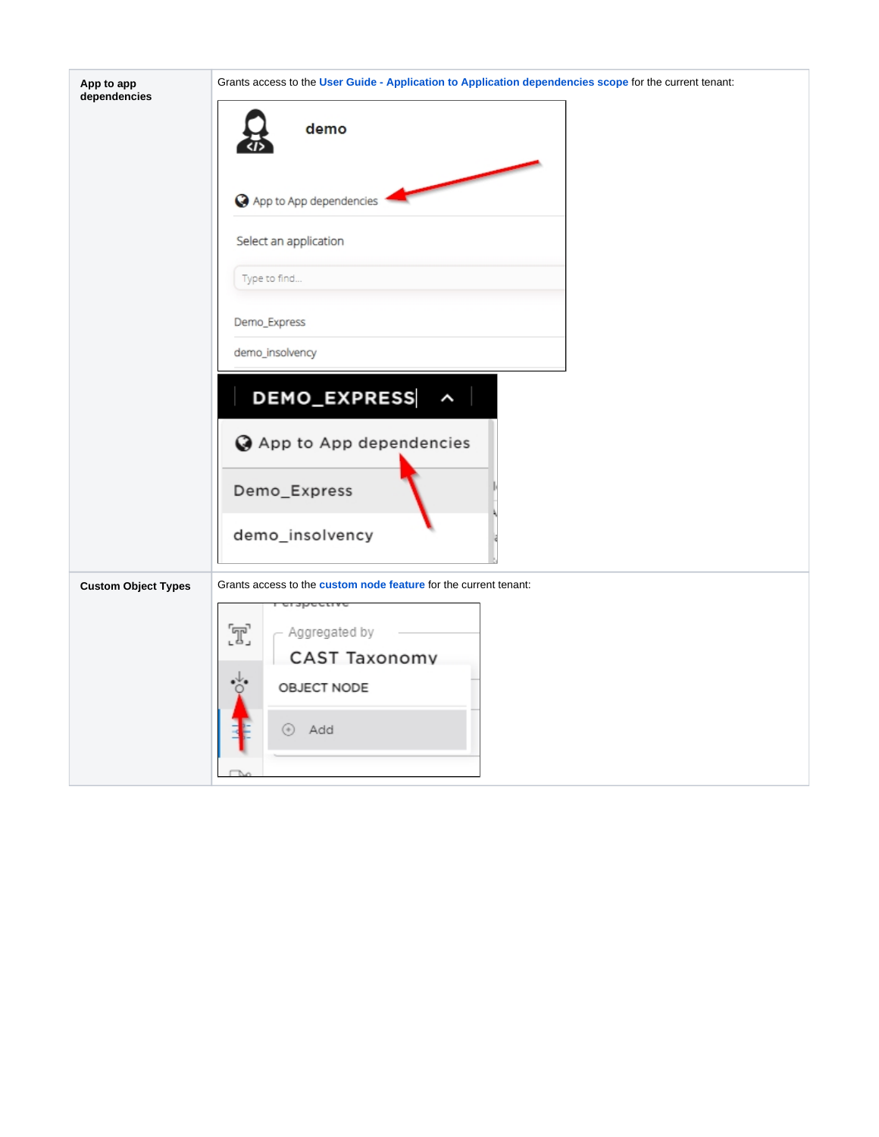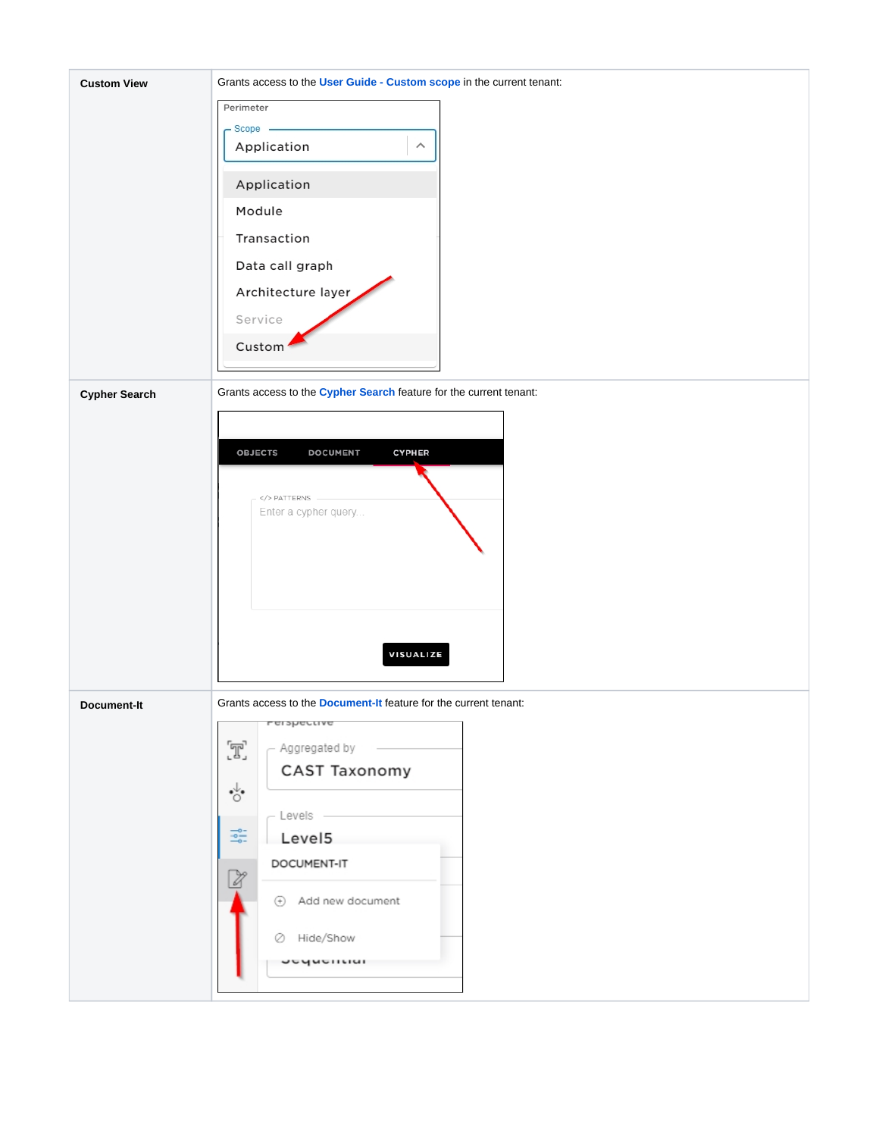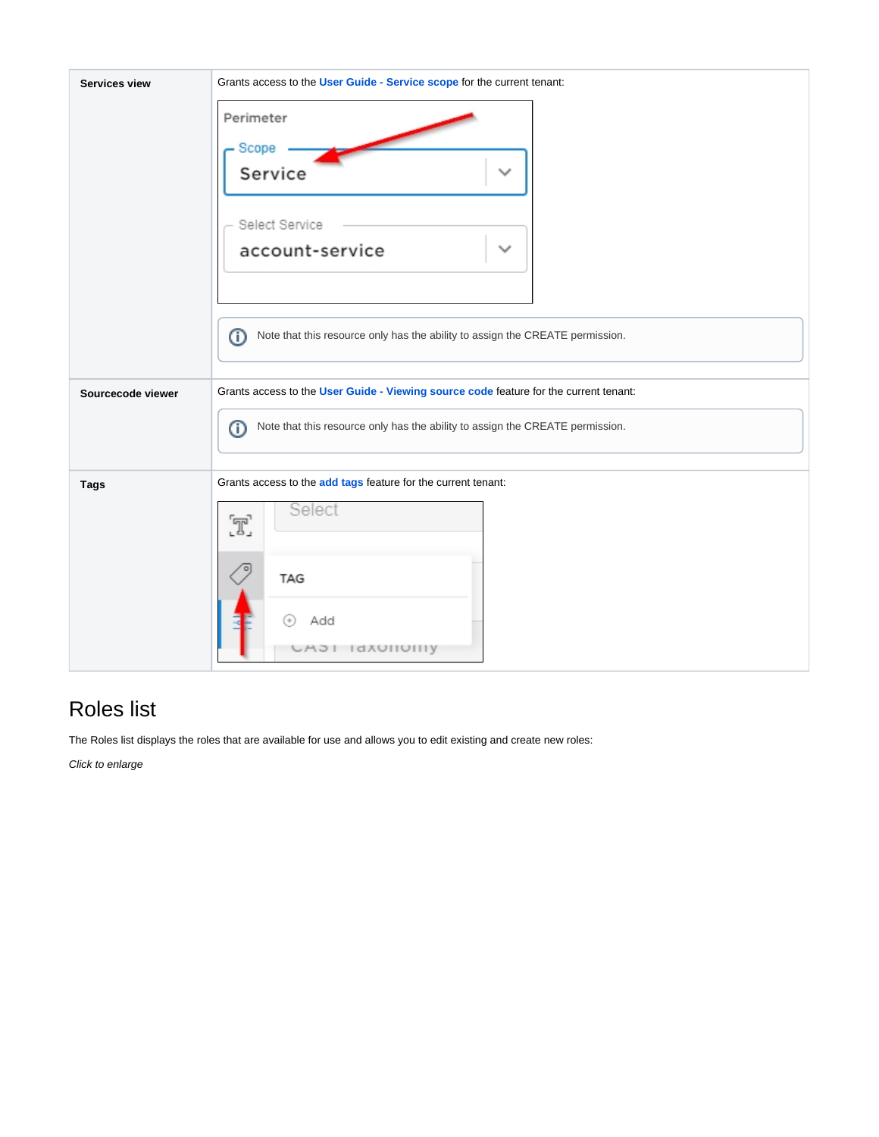

# <span id="page-6-0"></span>Roles list

The Roles list displays the roles that are available for use and allows you to edit existing and create new roles:

Click to enlarge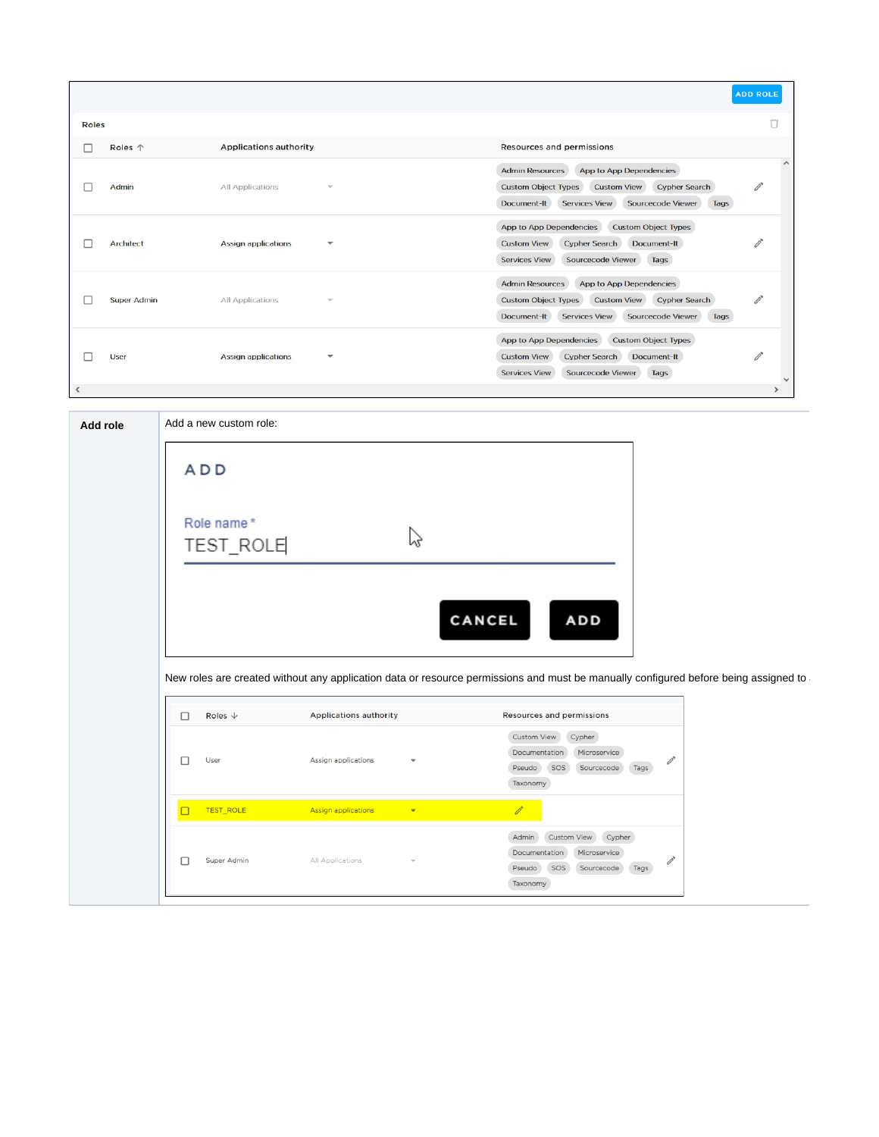|                          |                    |                                                        |                                                                                                                                                                                                          | <b>ADD ROLE</b> |
|--------------------------|--------------------|--------------------------------------------------------|----------------------------------------------------------------------------------------------------------------------------------------------------------------------------------------------------------|-----------------|
| <b>Roles</b>             |                    |                                                        |                                                                                                                                                                                                          | n               |
| - 1                      | Roles 个            | <b>Applications authority</b>                          | Resources and permissions                                                                                                                                                                                |                 |
|                          | Admin              | All Applications<br>$\overline{\phantom{a}}$           | App to App Dependencies<br><b>Admin Resources</b><br><b>Custom Object Types</b><br><b>Custom View</b><br><b>Cypher Search</b><br><b>Sourcecode Viewer</b><br>Document-It<br><b>Services View</b><br>Tags | $\hat{}$        |
|                          | <b>Architect</b>   | <b>Assign applications</b><br>$\overline{\phantom{a}}$ | App to App Dependencies<br><b>Custom Object Types</b><br><b>Custom View</b><br><b>Cypher Search</b><br>Document-It<br><b>Services View</b><br><b>Sourcecode Viewer</b><br>Tags                           |                 |
|                          | <b>Super Admin</b> | <b>All Applications</b><br>$\overline{\phantom{a}}$    | <b>Admin Resources</b><br>App to App Dependencies<br><b>Custom Object Types</b><br><b>Custom View</b><br><b>Cypher Search</b><br><b>Services View</b><br><b>Sourcecode Viewer</b><br>Document-It<br>Tags | Ï,              |
|                          | <b>User</b>        | <b>Assign applications</b><br>$\overline{\phantom{a}}$ | App to App Dependencies<br><b>Custom Object Types</b><br><b>Custom View</b><br><b>Cypher Search</b><br>Document-It<br><b>Sourcecode Viewer</b><br><b>Services View</b><br>Tags                           |                 |
| $\overline{\phantom{a}}$ |                    |                                                        |                                                                                                                                                                                                          | $\rightarrow$   |

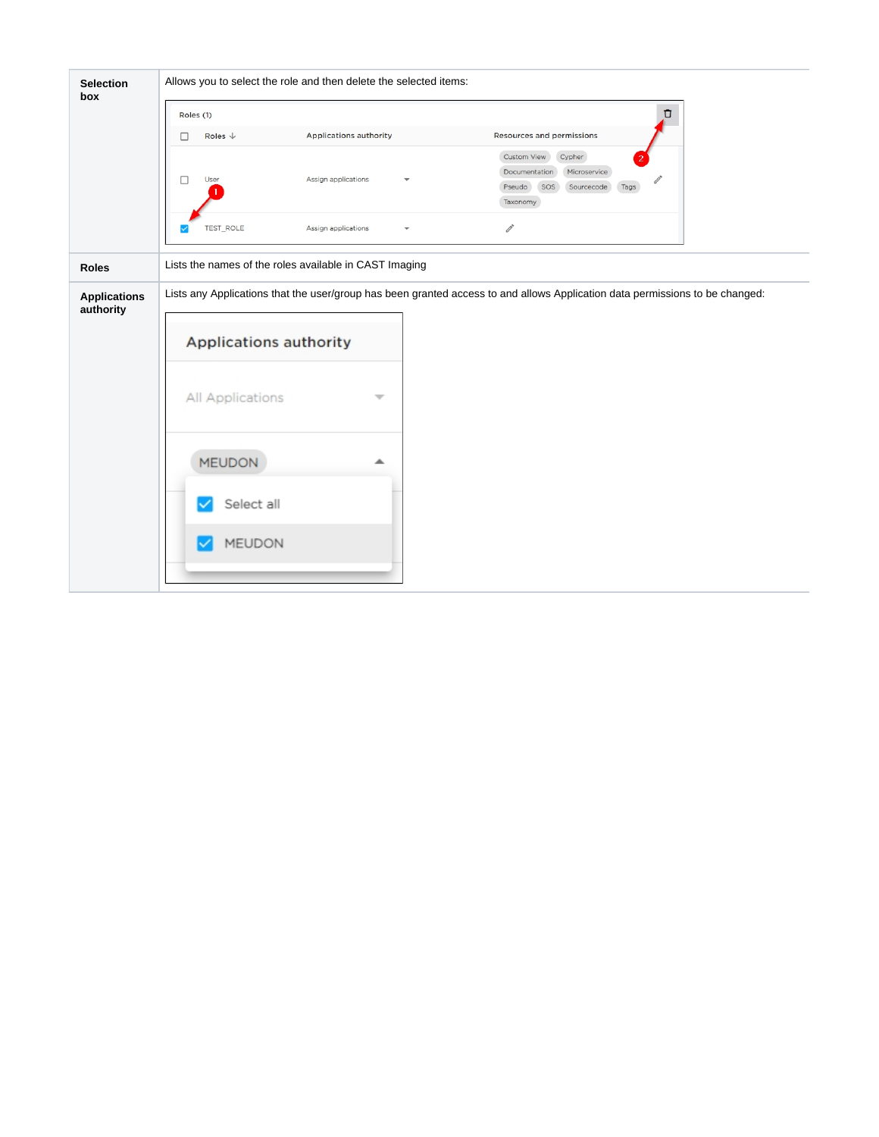| <b>Selection</b><br>box          | Allows you to select the role and then delete the selected items: |                                                                                                                              |  |  |  |
|----------------------------------|-------------------------------------------------------------------|------------------------------------------------------------------------------------------------------------------------------|--|--|--|
|                                  | Roles (1)                                                         | Ū                                                                                                                            |  |  |  |
|                                  | Roles $\downarrow$<br><b>Applications authority</b><br>$\Box$     | Resources and permissions                                                                                                    |  |  |  |
|                                  | $\Box$<br>User<br>Assign applications                             | Custom View<br>Cypher<br>Documentation<br>Microservice<br>SOS<br>Sourcecode<br>Pseudo<br>Tags<br>Taxonomy                    |  |  |  |
|                                  | TEST_ROLE<br>Assign applications<br>$\overline{\mathbf{v}}$       | $\mathscr{O}^*$                                                                                                              |  |  |  |
| <b>Roles</b>                     | Lists the names of the roles available in CAST Imaging            |                                                                                                                              |  |  |  |
| <b>Applications</b><br>authority |                                                                   | Lists any Applications that the user/group has been granted access to and allows Application data permissions to be changed: |  |  |  |
|                                  | Applications authority                                            |                                                                                                                              |  |  |  |
|                                  | All Applications<br>₩                                             |                                                                                                                              |  |  |  |
|                                  | <b>MEUDON</b><br>┻                                                |                                                                                                                              |  |  |  |
|                                  | Select all                                                        |                                                                                                                              |  |  |  |
|                                  | MEUDON                                                            |                                                                                                                              |  |  |  |
|                                  |                                                                   |                                                                                                                              |  |  |  |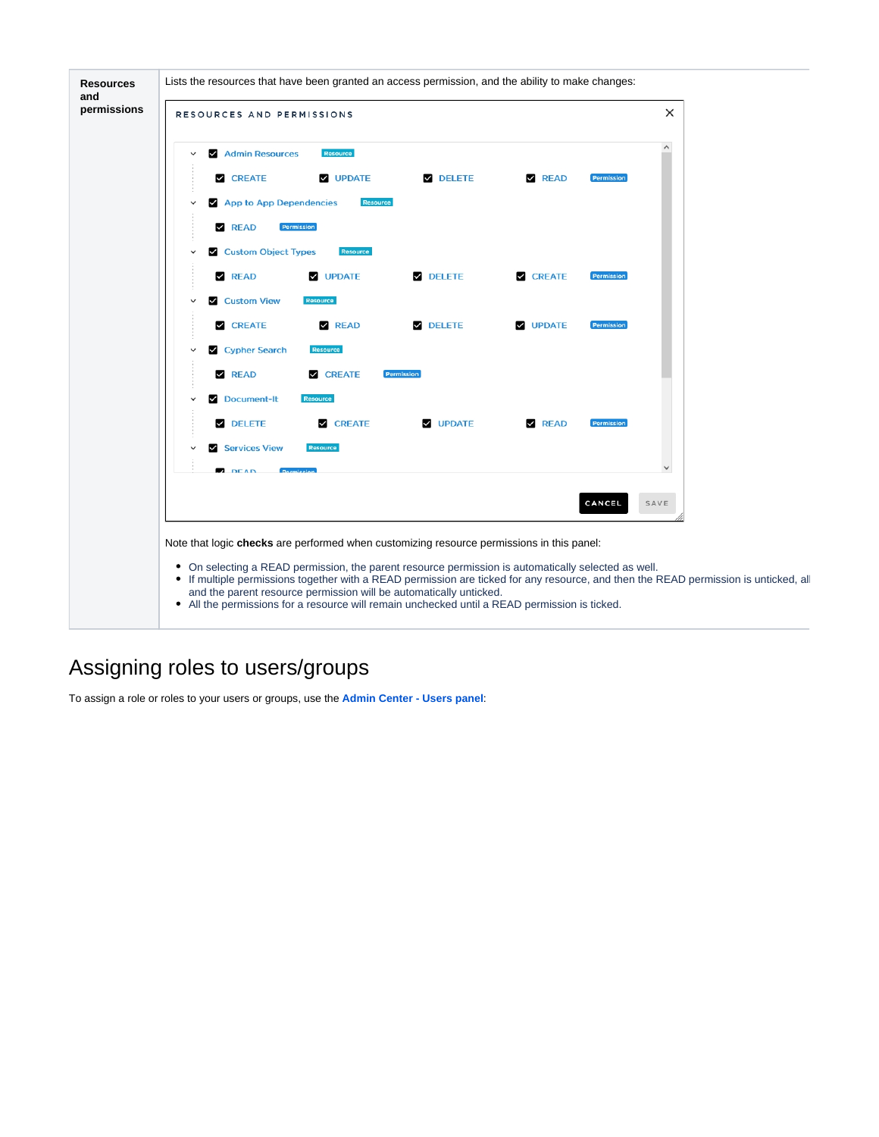

## <span id="page-9-0"></span>Assigning roles to users/groups

To assign a role or roles to your users or groups, use the **[Admin Center - Users panel](https://doc.castsoftware.com/display/IMAGING/Admin+Center+-+Users+panel)**: